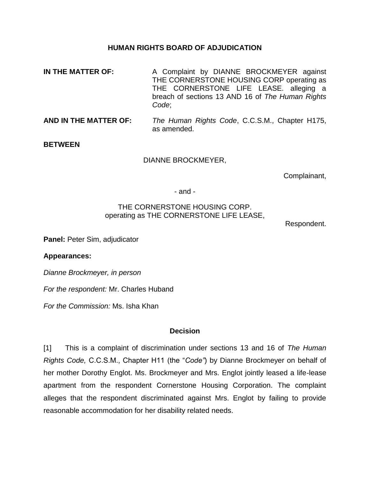#### **HUMAN RIGHTS BOARD OF ADJUDICATION**

- **IN THE MATTER OF:** A Complaint by DIANNE BROCKMEYER against THE CORNERSTONE HOUSING CORP operating as THE CORNERSTONE LIFE LEASE. alleging a breach of sections 13 AND 16 of *The Human Rights Code*;
- **AND IN THE MATTER OF:** *The Human Rights Code*, C.C.S.M., Chapter H175, as amended.

**BETWEEN**

DIANNE BROCKMEYER,

Complainant,

- and -

#### THE CORNERSTONE HOUSING CORP. operating as THE CORNERSTONE LIFE LEASE,

Respondent.

**Panel:** Peter Sim, adjudicator

**Appearances:**

*Dianne Brockmeyer, in person*

*For the respondent:* Mr. Charles Huband

*For the Commission:* Ms. Isha Khan

### **Decision**

[1] This is a complaint of discrimination under sections 13 and 16 of *The Human Rights Code,* C.C.S.M., Chapter H11 (the "*Code"*) by Dianne Brockmeyer on behalf of her mother Dorothy Englot. Ms. Brockmeyer and Mrs. Englot jointly leased a life-lease apartment from the respondent Cornerstone Housing Corporation. The complaint alleges that the respondent discriminated against Mrs. Englot by failing to provide reasonable accommodation for her disability related needs.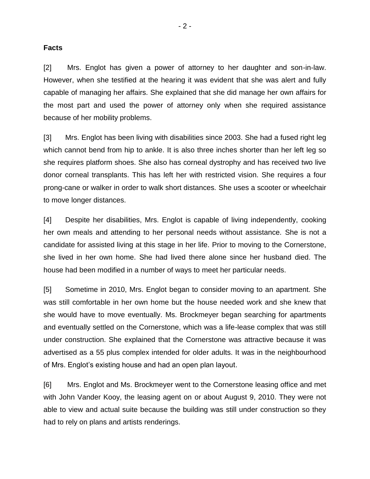#### **Facts**

[2] Mrs. Englot has given a power of attorney to her daughter and son-in-law. However, when she testified at the hearing it was evident that she was alert and fully capable of managing her affairs. She explained that she did manage her own affairs for the most part and used the power of attorney only when she required assistance because of her mobility problems.

[3] Mrs. Englot has been living with disabilities since 2003. She had a fused right leg which cannot bend from hip to ankle. It is also three inches shorter than her left leg so she requires platform shoes. She also has corneal dystrophy and has received two live donor corneal transplants. This has left her with restricted vision. She requires a four prong-cane or walker in order to walk short distances. She uses a scooter or wheelchair to move longer distances.

[4] Despite her disabilities, Mrs. Englot is capable of living independently, cooking her own meals and attending to her personal needs without assistance. She is not a candidate for assisted living at this stage in her life. Prior to moving to the Cornerstone, she lived in her own home. She had lived there alone since her husband died. The house had been modified in a number of ways to meet her particular needs.

[5] Sometime in 2010, Mrs. Englot began to consider moving to an apartment. She was still comfortable in her own home but the house needed work and she knew that she would have to move eventually. Ms. Brockmeyer began searching for apartments and eventually settled on the Cornerstone, which was a life-lease complex that was still under construction. She explained that the Cornerstone was attractive because it was advertised as a 55 plus complex intended for older adults. It was in the neighbourhood of Mrs. Englot's existing house and had an open plan layout.

[6] Mrs. Englot and Ms. Brockmeyer went to the Cornerstone leasing office and met with John Vander Kooy, the leasing agent on or about August 9, 2010. They were not able to view and actual suite because the building was still under construction so they had to rely on plans and artists renderings.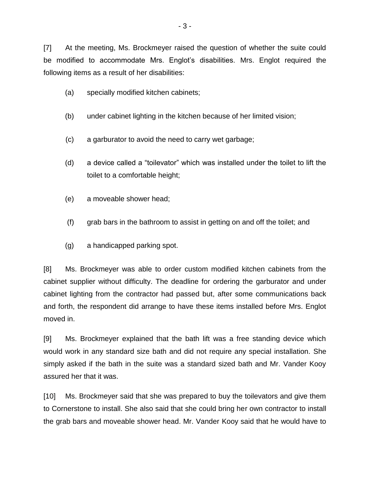[7] At the meeting, Ms. Brockmeyer raised the question of whether the suite could be modified to accommodate Mrs. Englot's disabilities. Mrs. Englot required the following items as a result of her disabilities:

- (a) specially modified kitchen cabinets;
- (b) under cabinet lighting in the kitchen because of her limited vision;
- (c) a garburator to avoid the need to carry wet garbage;
- (d) a device called a "toilevator" which was installed under the toilet to lift the toilet to a comfortable height;
- (e) a moveable shower head;
- (f) grab bars in the bathroom to assist in getting on and off the toilet; and
- (g) a handicapped parking spot.

[8] Ms. Brockmeyer was able to order custom modified kitchen cabinets from the cabinet supplier without difficulty. The deadline for ordering the garburator and under cabinet lighting from the contractor had passed but, after some communications back and forth, the respondent did arrange to have these items installed before Mrs. Englot moved in.

[9] Ms. Brockmeyer explained that the bath lift was a free standing device which would work in any standard size bath and did not require any special installation. She simply asked if the bath in the suite was a standard sized bath and Mr. Vander Kooy assured her that it was.

[10] Ms. Brockmeyer said that she was prepared to buy the toilevators and give them to Cornerstone to install. She also said that she could bring her own contractor to install the grab bars and moveable shower head. Mr. Vander Kooy said that he would have to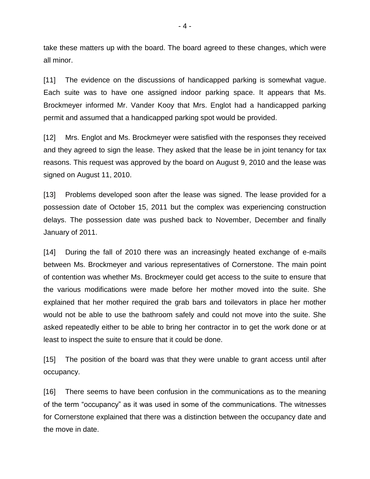take these matters up with the board. The board agreed to these changes, which were all minor.

[11] The evidence on the discussions of handicapped parking is somewhat vague. Each suite was to have one assigned indoor parking space. It appears that Ms. Brockmeyer informed Mr. Vander Kooy that Mrs. Englot had a handicapped parking permit and assumed that a handicapped parking spot would be provided.

[12] Mrs. Englot and Ms. Brockmeyer were satisfied with the responses they received and they agreed to sign the lease. They asked that the lease be in joint tenancy for tax reasons. This request was approved by the board on August 9, 2010 and the lease was signed on August 11, 2010.

[13] Problems developed soon after the lease was signed. The lease provided for a possession date of October 15, 2011 but the complex was experiencing construction delays. The possession date was pushed back to November, December and finally January of 2011.

[14] During the fall of 2010 there was an increasingly heated exchange of e-mails between Ms. Brockmeyer and various representatives of Cornerstone. The main point of contention was whether Ms. Brockmeyer could get access to the suite to ensure that the various modifications were made before her mother moved into the suite. She explained that her mother required the grab bars and toilevators in place her mother would not be able to use the bathroom safely and could not move into the suite. She asked repeatedly either to be able to bring her contractor in to get the work done or at least to inspect the suite to ensure that it could be done.

[15] The position of the board was that they were unable to grant access until after occupancy.

[16] There seems to have been confusion in the communications as to the meaning of the term "occupancy" as it was used in some of the communications. The witnesses for Cornerstone explained that there was a distinction between the occupancy date and the move in date.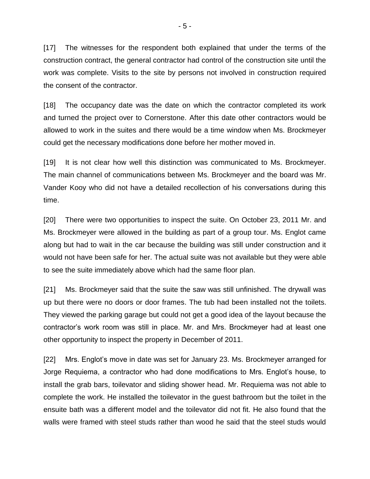[17] The witnesses for the respondent both explained that under the terms of the construction contract, the general contractor had control of the construction site until the work was complete. Visits to the site by persons not involved in construction required the consent of the contractor.

[18] The occupancy date was the date on which the contractor completed its work and turned the project over to Cornerstone. After this date other contractors would be allowed to work in the suites and there would be a time window when Ms. Brockmeyer could get the necessary modifications done before her mother moved in.

[19] It is not clear how well this distinction was communicated to Ms. Brockmeyer. The main channel of communications between Ms. Brockmeyer and the board was Mr. Vander Kooy who did not have a detailed recollection of his conversations during this time.

[20] There were two opportunities to inspect the suite. On October 23, 2011 Mr. and Ms. Brockmeyer were allowed in the building as part of a group tour. Ms. Englot came along but had to wait in the car because the building was still under construction and it would not have been safe for her. The actual suite was not available but they were able to see the suite immediately above which had the same floor plan.

[21] Ms. Brockmeyer said that the suite the saw was still unfinished. The drywall was up but there were no doors or door frames. The tub had been installed not the toilets. They viewed the parking garage but could not get a good idea of the layout because the contractor's work room was still in place. Mr. and Mrs. Brockmeyer had at least one other opportunity to inspect the property in December of 2011.

[22] Mrs. Englot's move in date was set for January 23. Ms. Brockmeyer arranged for Jorge Requiema, a contractor who had done modifications to Mrs. Englot's house, to install the grab bars, toilevator and sliding shower head. Mr. Requiema was not able to complete the work. He installed the toilevator in the guest bathroom but the toilet in the ensuite bath was a different model and the toilevator did not fit. He also found that the walls were framed with steel studs rather than wood he said that the steel studs would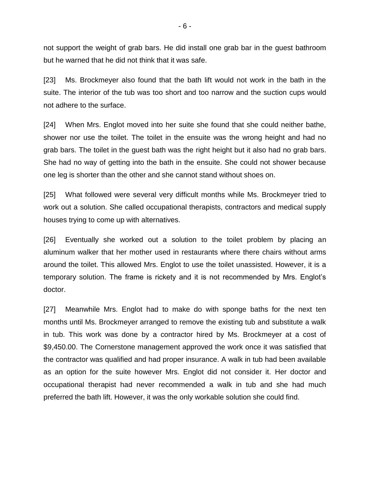not support the weight of grab bars. He did install one grab bar in the guest bathroom but he warned that he did not think that it was safe.

[23] Ms. Brockmeyer also found that the bath lift would not work in the bath in the suite. The interior of the tub was too short and too narrow and the suction cups would not adhere to the surface.

[24] When Mrs. Englot moved into her suite she found that she could neither bathe, shower nor use the toilet. The toilet in the ensuite was the wrong height and had no grab bars. The toilet in the guest bath was the right height but it also had no grab bars. She had no way of getting into the bath in the ensuite. She could not shower because one leg is shorter than the other and she cannot stand without shoes on.

[25] What followed were several very difficult months while Ms. Brockmeyer tried to work out a solution. She called occupational therapists, contractors and medical supply houses trying to come up with alternatives.

[26] Eventually she worked out a solution to the toilet problem by placing an aluminum walker that her mother used in restaurants where there chairs without arms around the toilet. This allowed Mrs. Englot to use the toilet unassisted. However, it is a temporary solution. The frame is rickety and it is not recommended by Mrs. Englot's doctor.

[27] Meanwhile Mrs. Englot had to make do with sponge baths for the next ten months until Ms. Brockmeyer arranged to remove the existing tub and substitute a walk in tub. This work was done by a contractor hired by Ms. Brockmeyer at a cost of \$9,450.00. The Cornerstone management approved the work once it was satisfied that the contractor was qualified and had proper insurance. A walk in tub had been available as an option for the suite however Mrs. Englot did not consider it. Her doctor and occupational therapist had never recommended a walk in tub and she had much preferred the bath lift. However, it was the only workable solution she could find.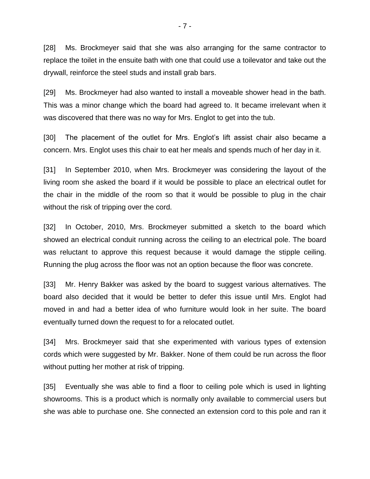[28] Ms. Brockmeyer said that she was also arranging for the same contractor to replace the toilet in the ensuite bath with one that could use a toilevator and take out the drywall, reinforce the steel studs and install grab bars.

[29] Ms. Brockmeyer had also wanted to install a moveable shower head in the bath. This was a minor change which the board had agreed to. It became irrelevant when it was discovered that there was no way for Mrs. Englot to get into the tub.

[30] The placement of the outlet for Mrs. Englot's lift assist chair also became a concern. Mrs. Englot uses this chair to eat her meals and spends much of her day in it.

[31] In September 2010, when Mrs. Brockmeyer was considering the layout of the living room she asked the board if it would be possible to place an electrical outlet for the chair in the middle of the room so that it would be possible to plug in the chair without the risk of tripping over the cord.

[32] In October, 2010, Mrs. Brockmeyer submitted a sketch to the board which showed an electrical conduit running across the ceiling to an electrical pole. The board was reluctant to approve this request because it would damage the stipple ceiling. Running the plug across the floor was not an option because the floor was concrete.

[33] Mr. Henry Bakker was asked by the board to suggest various alternatives. The board also decided that it would be better to defer this issue until Mrs. Englot had moved in and had a better idea of who furniture would look in her suite. The board eventually turned down the request to for a relocated outlet.

[34] Mrs. Brockmeyer said that she experimented with various types of extension cords which were suggested by Mr. Bakker. None of them could be run across the floor without putting her mother at risk of tripping.

[35] Eventually she was able to find a floor to ceiling pole which is used in lighting showrooms. This is a product which is normally only available to commercial users but she was able to purchase one. She connected an extension cord to this pole and ran it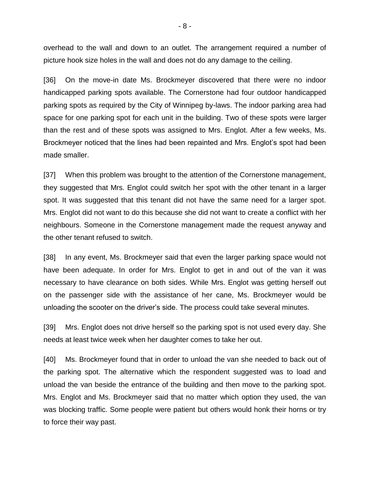overhead to the wall and down to an outlet. The arrangement required a number of picture hook size holes in the wall and does not do any damage to the ceiling.

[36] On the move-in date Ms. Brockmeyer discovered that there were no indoor handicapped parking spots available. The Cornerstone had four outdoor handicapped parking spots as required by the City of Winnipeg by-laws. The indoor parking area had space for one parking spot for each unit in the building. Two of these spots were larger than the rest and of these spots was assigned to Mrs. Englot. After a few weeks, Ms. Brockmeyer noticed that the lines had been repainted and Mrs. Englot's spot had been made smaller.

[37] When this problem was brought to the attention of the Cornerstone management, they suggested that Mrs. Englot could switch her spot with the other tenant in a larger spot. It was suggested that this tenant did not have the same need for a larger spot. Mrs. Englot did not want to do this because she did not want to create a conflict with her neighbours. Someone in the Cornerstone management made the request anyway and the other tenant refused to switch.

[38] In any event, Ms. Brockmeyer said that even the larger parking space would not have been adequate. In order for Mrs. Englot to get in and out of the van it was necessary to have clearance on both sides. While Mrs. Englot was getting herself out on the passenger side with the assistance of her cane, Ms. Brockmeyer would be unloading the scooter on the driver's side. The process could take several minutes.

[39] Mrs. Englot does not drive herself so the parking spot is not used every day. She needs at least twice week when her daughter comes to take her out.

[40] Ms. Brockmeyer found that in order to unload the van she needed to back out of the parking spot. The alternative which the respondent suggested was to load and unload the van beside the entrance of the building and then move to the parking spot. Mrs. Englot and Ms. Brockmeyer said that no matter which option they used, the van was blocking traffic. Some people were patient but others would honk their horns or try to force their way past.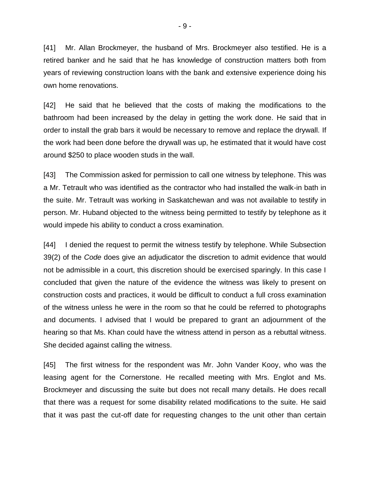[41] Mr. Allan Brockmeyer, the husband of Mrs. Brockmeyer also testified. He is a retired banker and he said that he has knowledge of construction matters both from years of reviewing construction loans with the bank and extensive experience doing his own home renovations.

[42] He said that he believed that the costs of making the modifications to the bathroom had been increased by the delay in getting the work done. He said that in order to install the grab bars it would be necessary to remove and replace the drywall. If the work had been done before the drywall was up, he estimated that it would have cost around \$250 to place wooden studs in the wall.

[43] The Commission asked for permission to call one witness by telephone. This was a Mr. Tetrault who was identified as the contractor who had installed the walk-in bath in the suite. Mr. Tetrault was working in Saskatchewan and was not available to testify in person. Mr. Huband objected to the witness being permitted to testify by telephone as it would impede his ability to conduct a cross examination.

[44] I denied the request to permit the witness testify by telephone. While Subsection 39(2) of the *Code* does give an adjudicator the discretion to admit evidence that would not be admissible in a court, this discretion should be exercised sparingly. In this case I concluded that given the nature of the evidence the witness was likely to present on construction costs and practices, it would be difficult to conduct a full cross examination of the witness unless he were in the room so that he could be referred to photographs and documents. I advised that I would be prepared to grant an adjournment of the hearing so that Ms. Khan could have the witness attend in person as a rebuttal witness. She decided against calling the witness.

[45] The first witness for the respondent was Mr. John Vander Kooy, who was the leasing agent for the Cornerstone. He recalled meeting with Mrs. Englot and Ms. Brockmeyer and discussing the suite but does not recall many details. He does recall that there was a request for some disability related modifications to the suite. He said that it was past the cut-off date for requesting changes to the unit other than certain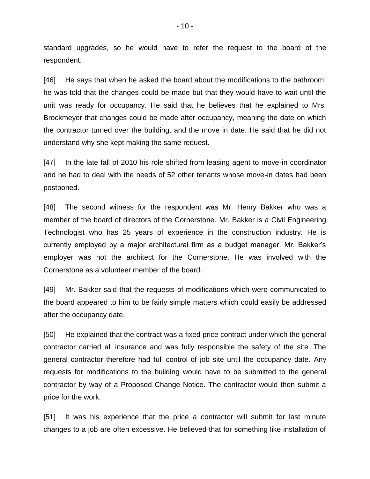standard upgrades, so he would have to refer the request to the board of the respondent.

[46] He says that when he asked the board about the modifications to the bathroom, he was told that the changes could be made but that they would have to wait until the unit was ready for occupancy. He said that he believes that he explained to Mrs. Brockmeyer that changes could be made after occupancy, meaning the date on which the contractor turned over the building, and the move in date. He said that he did not understand why she kept making the same request.

[47] In the late fall of 2010 his role shifted from leasing agent to move-in coordinator and he had to deal with the needs of 52 other tenants whose move-in dates had been postponed.

[48] The second witness for the respondent was Mr. Henry Bakker who was a member of the board of directors of the Cornerstone. Mr. Bakker is a Civil Engineering Technologist who has 25 years of experience in the construction industry. He is currently employed by a major architectural firm as a budget manager. Mr. Bakker's employer was not the architect for the Cornerstone. He was involved with the Cornerstone as a volunteer member of the board.

[49] Mr. Bakker said that the requests of modifications which were communicated to the board appeared to him to be fairly simple matters which could easily be addressed after the occupancy date.

[50] He explained that the contract was a fixed price contract under which the general contractor carried all insurance and was fully responsible the safety of the site. The general contractor therefore had full control of job site until the occupancy date. Any requests for modifications to the building would have to be submitted to the general contractor by way of a Proposed Change Notice. The contractor would then submit a price for the work.

[51] It was his experience that the price a contractor will submit for last minute changes to a job are often excessive. He believed that for something like installation of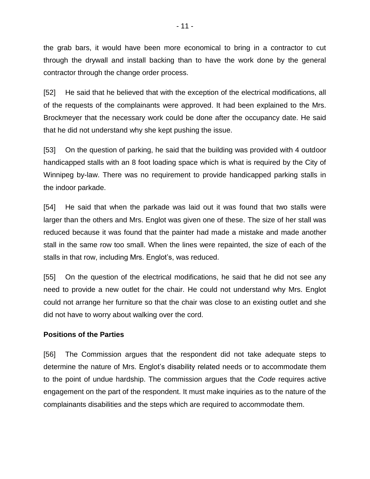the grab bars, it would have been more economical to bring in a contractor to cut through the drywall and install backing than to have the work done by the general contractor through the change order process.

[52] He said that he believed that with the exception of the electrical modifications, all of the requests of the complainants were approved. It had been explained to the Mrs. Brockmeyer that the necessary work could be done after the occupancy date. He said that he did not understand why she kept pushing the issue.

[53] On the question of parking, he said that the building was provided with 4 outdoor handicapped stalls with an 8 foot loading space which is what is required by the City of Winnipeg by-law. There was no requirement to provide handicapped parking stalls in the indoor parkade.

[54] He said that when the parkade was laid out it was found that two stalls were larger than the others and Mrs. Englot was given one of these. The size of her stall was reduced because it was found that the painter had made a mistake and made another stall in the same row too small. When the lines were repainted, the size of each of the stalls in that row, including Mrs. Englot's, was reduced.

[55] On the question of the electrical modifications, he said that he did not see any need to provide a new outlet for the chair. He could not understand why Mrs. Englot could not arrange her furniture so that the chair was close to an existing outlet and she did not have to worry about walking over the cord.

### **Positions of the Parties**

[56] The Commission argues that the respondent did not take adequate steps to determine the nature of Mrs. Englot's disability related needs or to accommodate them to the point of undue hardship. The commission argues that the *Code* requires active engagement on the part of the respondent. It must make inquiries as to the nature of the complainants disabilities and the steps which are required to accommodate them.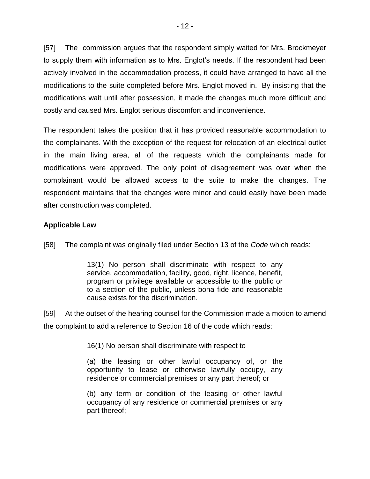[57] The commission argues that the respondent simply waited for Mrs. Brockmeyer to supply them with information as to Mrs. Englot's needs. If the respondent had been actively involved in the accommodation process, it could have arranged to have all the modifications to the suite completed before Mrs. Englot moved in. By insisting that the modifications wait until after possession, it made the changes much more difficult and costly and caused Mrs. Englot serious discomfort and inconvenience.

The respondent takes the position that it has provided reasonable accommodation to the complainants. With the exception of the request for relocation of an electrical outlet in the main living area, all of the requests which the complainants made for modifications were approved. The only point of disagreement was over when the complainant would be allowed access to the suite to make the changes. The respondent maintains that the changes were minor and could easily have been made after construction was completed.

# **Applicable Law**

[58] The complaint was originally filed under Section 13 of the *Code* which reads:

13(1) No person shall discriminate with respect to any service, accommodation, facility, good, right, licence, benefit, program or privilege available or accessible to the public or to a section of the public, unless bona fide and reasonable cause exists for the discrimination.

[59] At the outset of the hearing counsel for the Commission made a motion to amend the complaint to add a reference to Section 16 of the code which reads:

16(1) No person shall discriminate with respect to

(a) the leasing or other lawful occupancy of, or the opportunity to lease or otherwise lawfully occupy, any residence or commercial premises or any part thereof; or

(b) any term or condition of the leasing or other lawful occupancy of any residence or commercial premises or any part thereof;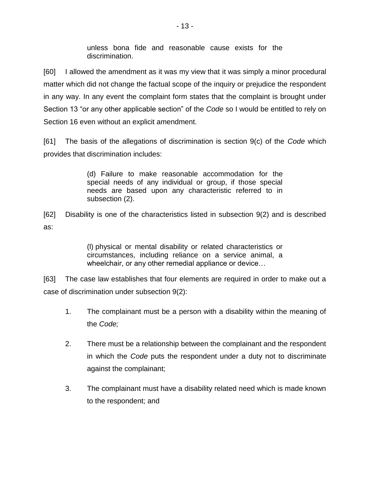unless bona fide and reasonable cause exists for the discrimination.

[60] I allowed the amendment as it was my view that it was simply a minor procedural matter which did not change the factual scope of the inquiry or prejudice the respondent in any way. In any event the complaint form states that the complaint is brought under Section 13 "or any other applicable section" of the *Code* so I would be entitled to rely on Section 16 even without an explicit amendment.

[61] The basis of the allegations of discrimination is section 9(c) of the *Code* which provides that discrimination includes:

> (d) Failure to make reasonable accommodation for the special needs of any individual or group, if those special needs are based upon any characteristic referred to in subsection (2).

[62] Disability is one of the characteristics listed in subsection 9(2) and is described as:

> (l) physical or mental disability or related characteristics or circumstances, including reliance on a service animal, a wheelchair, or any other remedial appliance or device…

[63] The case law establishes that four elements are required in order to make out a case of discrimination under subsection 9(2):

- 1. The complainant must be a person with a disability within the meaning of the *Code;*
- 2. There must be a relationship between the complainant and the respondent in which the *Code* puts the respondent under a duty not to discriminate against the complainant;
- 3. The complainant must have a disability related need which is made known to the respondent; and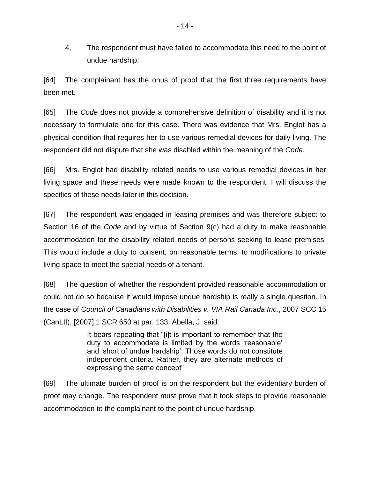4. The respondent must have failed to accommodate this need to the point of undue hardship.

[64] The complainant has the onus of proof that the first three requirements have been met.

[65] The *Code* does not provide a comprehensive definition of disability and it is not necessary to formulate one for this case. There was evidence that Mrs. Englot has a physical condition that requires her to use various remedial devices for daily living. The respondent did not dispute that she was disabled within the meaning of the *Code*.

[66] Mrs. Englot had disability related needs to use various remedial devices in her living space and these needs were made known to the respondent. I will discuss the specifics of these needs later in this decision.

[67] The respondent was engaged in leasing premises and was therefore subject to Section 16 of the *Code* and by virtue of Section 9(c) had a duty to make reasonable accommodation for the disability related needs of persons seeking to lease premises. This would include a duty to consent, on reasonable terms, to modifications to private living space to meet the special needs of a tenant.

[68] The question of whether the respondent provided reasonable accommodation or could not do so because it would impose undue hardship is really a single question. In the case of *Council of Canadians with Disabilities v. VIA Rail Canada Inc.*, 2007 SCC 15 (CanLII), [2007] 1 SCR 650 at par. 133, Abella, J. said:

> It bears repeating that "[i]t is important to remember that the duty to accommodate is limited by the words 'reasonable' and 'short of undue hardship'. Those words do not constitute independent criteria. Rather, they are alternate methods of expressing the same concept"

[69] The ultimate burden of proof is on the respondent but the evidentiary burden of proof may change. The respondent must prove that it took steps to provide reasonable accommodation to the complainant to the point of undue hardship.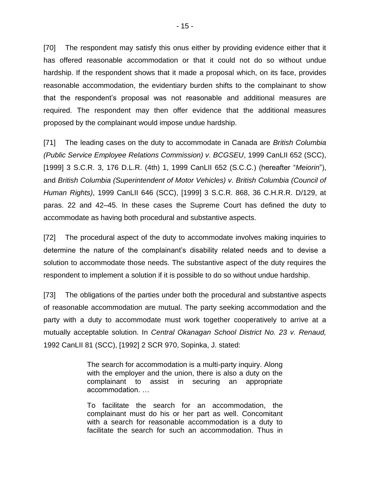[70] The respondent may satisfy this onus either by providing evidence either that it has offered reasonable accommodation or that it could not do so without undue hardship. If the respondent shows that it made a proposal which, on its face, provides reasonable accommodation, the evidentiary burden shifts to the complainant to show that the respondent's proposal was not reasonable and additional measures are required. The respondent may then offer evidence that the additional measures proposed by the complainant would impose undue hardship.

[71] The leading cases on the duty to accommodate in Canada are *British Columbia (Public Service Employee Relations Commission) v. BCGSEU*, 1999 CanLII 652 (SCC), [1999] 3 S.C.R. 3, 176 D.L.R. (4th) 1, 1999 CanLII 652 (S.C.C.) (hereafter "*Meiorin*"), and *British Columbia (Superintendent of Motor Vehicles) v. British Columbia (Council of Human Rights)*, 1999 CanLII 646 (SCC), [1999] 3 S.C.R. 868, 36 C.H.R.R. D/129, at paras. 22 and 42–45. In these cases the Supreme Court has defined the duty to accommodate as having both procedural and substantive aspects.

[72] The procedural aspect of the duty to accommodate involves making inquiries to determine the nature of the complainant's disability related needs and to devise a solution to accommodate those needs. The substantive aspect of the duty requires the respondent to implement a solution if it is possible to do so without undue hardship.

[73] The obligations of the parties under both the procedural and substantive aspects of reasonable accommodation are mutual. The party seeking accommodation and the party with a duty to accommodate must work together cooperatively to arrive at a mutually acceptable solution. In *Central Okanagan School District No. 23 v. Renaud,*  1992 CanLII 81 (SCC), [1992] 2 SCR 970, Sopinka, J. stated:

> The search for accommodation is a multi-party inquiry. Along with the employer and the union, there is also a duty on the complainant to assist in securing an appropriate accommodation. …

> To facilitate the search for an accommodation, the complainant must do his or her part as well. Concomitant with a search for reasonable accommodation is a duty to facilitate the search for such an accommodation. Thus in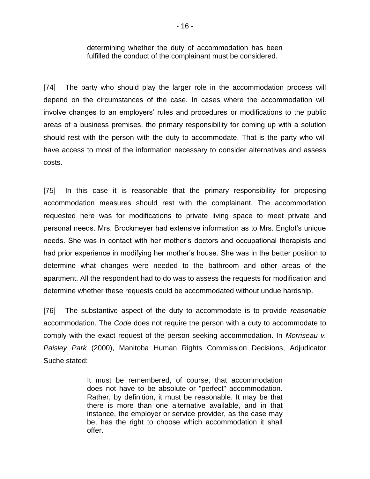determining whether the duty of accommodation has been fulfilled the conduct of the complainant must be considered.

[74] The party who should play the larger role in the accommodation process will depend on the circumstances of the case. In cases where the accommodation will involve changes to an employers' rules and procedures or modifications to the public areas of a business premises, the primary responsibility for coming up with a solution should rest with the person with the duty to accommodate. That is the party who will have access to most of the information necessary to consider alternatives and assess costs.

[75] In this case it is reasonable that the primary responsibility for proposing accommodation measures should rest with the complainant. The accommodation requested here was for modifications to private living space to meet private and personal needs. Mrs. Brockmeyer had extensive information as to Mrs. Englot's unique needs. She was in contact with her mother's doctors and occupational therapists and had prior experience in modifying her mother's house. She was in the better position to determine what changes were needed to the bathroom and other areas of the apartment. All the respondent had to do was to assess the requests for modification and determine whether these requests could be accommodated without undue hardship.

[76] The substantive aspect of the duty to accommodate is to provide *reasonable* accommodation. The *Code* does not require the person with a duty to accommodate to comply with the exact request of the person seeking accommodation. In *Morriseau v. Paisley Park* (2000), Manitoba Human Rights Commission Decisions, Adjudicator Suche stated:

> It must be remembered, of course, that accommodation does not have to be absolute or "perfect" accommodation. Rather, by definition, it must be reasonable. It may be that there is more than one alternative available, and in that instance, the employer or service provider, as the case may be, has the right to choose which accommodation it shall offer.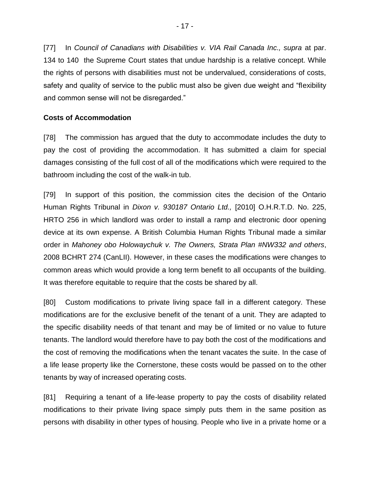[77] In *Council of Canadians with Disabilities v. VIA Rail Canada Inc., supra at par.* 134 to 140 the Supreme Court states that undue hardship is a relative concept. While the rights of persons with disabilities must not be undervalued, considerations of costs, safety and quality of service to the public must also be given due weight and "flexibility and common sense will not be disregarded."

# **Costs of Accommodation**

[78] The commission has argued that the duty to accommodate includes the duty to pay the cost of providing the accommodation. It has submitted a claim for special damages consisting of the full cost of all of the modifications which were required to the bathroom including the cost of the walk-in tub.

[79] In support of this position, the commission cites the decision of the Ontario Human Rights Tribunal in *Dixon v. 930187 Ontario Ltd.,* [2010] O.H.R.T.D. No. 225, HRTO 256 in which landlord was order to install a ramp and electronic door opening device at its own expense. A British Columbia Human Rights Tribunal made a similar order in *Mahoney obo Holowaychuk v. The Owners, Strata Plan #NW332 and others*, 2008 BCHRT 274 (CanLII). However, in these cases the modifications were changes to common areas which would provide a long term benefit to all occupants of the building. It was therefore equitable to require that the costs be shared by all.

[80] Custom modifications to private living space fall in a different category. These modifications are for the exclusive benefit of the tenant of a unit. They are adapted to the specific disability needs of that tenant and may be of limited or no value to future tenants. The landlord would therefore have to pay both the cost of the modifications and the cost of removing the modifications when the tenant vacates the suite. In the case of a life lease property like the Cornerstone, these costs would be passed on to the other tenants by way of increased operating costs.

[81] Requiring a tenant of a life-lease property to pay the costs of disability related modifications to their private living space simply puts them in the same position as persons with disability in other types of housing. People who live in a private home or a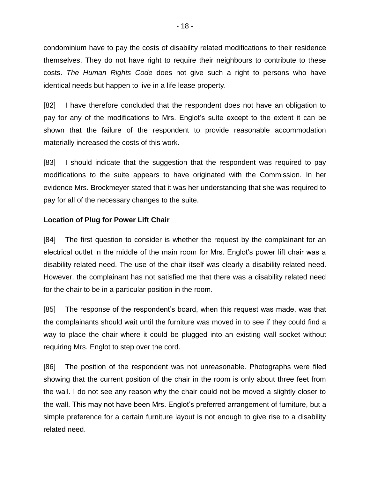condominium have to pay the costs of disability related modifications to their residence themselves. They do not have right to require their neighbours to contribute to these costs. *The Human Rights Code* does not give such a right to persons who have identical needs but happen to live in a life lease property.

[82] I have therefore concluded that the respondent does not have an obligation to pay for any of the modifications to Mrs. Englot's suite except to the extent it can be shown that the failure of the respondent to provide reasonable accommodation materially increased the costs of this work.

[83] I should indicate that the suggestion that the respondent was required to pay modifications to the suite appears to have originated with the Commission. In her evidence Mrs. Brockmeyer stated that it was her understanding that she was required to pay for all of the necessary changes to the suite.

# **Location of Plug for Power Lift Chair**

[84] The first question to consider is whether the request by the complainant for an electrical outlet in the middle of the main room for Mrs. Englot's power lift chair was a disability related need. The use of the chair itself was clearly a disability related need. However, the complainant has not satisfied me that there was a disability related need for the chair to be in a particular position in the room.

[85] The response of the respondent's board, when this request was made, was that the complainants should wait until the furniture was moved in to see if they could find a way to place the chair where it could be plugged into an existing wall socket without requiring Mrs. Englot to step over the cord.

[86] The position of the respondent was not unreasonable. Photographs were filed showing that the current position of the chair in the room is only about three feet from the wall. I do not see any reason why the chair could not be moved a slightly closer to the wall. This may not have been Mrs. Englot's preferred arrangement of furniture, but a simple preference for a certain furniture layout is not enough to give rise to a disability related need.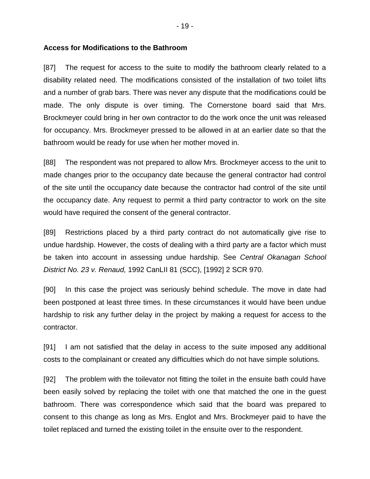#### **Access for Modifications to the Bathroom**

[87] The request for access to the suite to modify the bathroom clearly related to a disability related need. The modifications consisted of the installation of two toilet lifts and a number of grab bars. There was never any dispute that the modifications could be made. The only dispute is over timing. The Cornerstone board said that Mrs. Brockmeyer could bring in her own contractor to do the work once the unit was released for occupancy. Mrs. Brockmeyer pressed to be allowed in at an earlier date so that the bathroom would be ready for use when her mother moved in.

[88] The respondent was not prepared to allow Mrs. Brockmeyer access to the unit to made changes prior to the occupancy date because the general contractor had control of the site until the occupancy date because the contractor had control of the site until the occupancy date. Any request to permit a third party contractor to work on the site would have required the consent of the general contractor.

[89] Restrictions placed by a third party contract do not automatically give rise to undue hardship. However, the costs of dealing with a third party are a factor which must be taken into account in assessing undue hardship. See *Central Okanagan School District No. 23 v. Renaud,* 1992 CanLII 81 (SCC), [1992] 2 SCR 970.

[90] In this case the project was seriously behind schedule. The move in date had been postponed at least three times. In these circumstances it would have been undue hardship to risk any further delay in the project by making a request for access to the contractor.

[91] I am not satisfied that the delay in access to the suite imposed any additional costs to the complainant or created any difficulties which do not have simple solutions.

[92] The problem with the toilevator not fitting the toilet in the ensuite bath could have been easily solved by replacing the toilet with one that matched the one in the guest bathroom. There was correspondence which said that the board was prepared to consent to this change as long as Mrs. Englot and Mrs. Brockmeyer paid to have the toilet replaced and turned the existing toilet in the ensuite over to the respondent.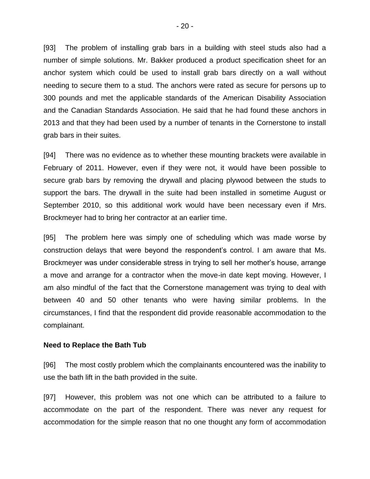[93] The problem of installing grab bars in a building with steel studs also had a number of simple solutions. Mr. Bakker produced a product specification sheet for an anchor system which could be used to install grab bars directly on a wall without needing to secure them to a stud. The anchors were rated as secure for persons up to 300 pounds and met the applicable standards of the American Disability Association and the Canadian Standards Association. He said that he had found these anchors in 2013 and that they had been used by a number of tenants in the Cornerstone to install grab bars in their suites.

[94] There was no evidence as to whether these mounting brackets were available in February of 2011. However, even if they were not, it would have been possible to secure grab bars by removing the drywall and placing plywood between the studs to support the bars. The drywall in the suite had been installed in sometime August or September 2010, so this additional work would have been necessary even if Mrs. Brockmeyer had to bring her contractor at an earlier time.

[95] The problem here was simply one of scheduling which was made worse by construction delays that were beyond the respondent's control. I am aware that Ms. Brockmeyer was under considerable stress in trying to sell her mother's house, arrange a move and arrange for a contractor when the move-in date kept moving. However, I am also mindful of the fact that the Cornerstone management was trying to deal with between 40 and 50 other tenants who were having similar problems. In the circumstances, I find that the respondent did provide reasonable accommodation to the complainant.

#### **Need to Replace the Bath Tub**

[96] The most costly problem which the complainants encountered was the inability to use the bath lift in the bath provided in the suite.

[97] However, this problem was not one which can be attributed to a failure to accommodate on the part of the respondent. There was never any request for accommodation for the simple reason that no one thought any form of accommodation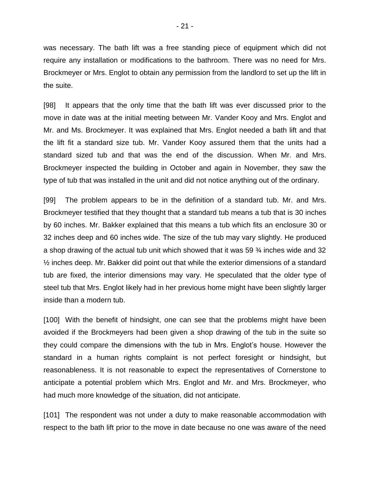was necessary. The bath lift was a free standing piece of equipment which did not require any installation or modifications to the bathroom. There was no need for Mrs. Brockmeyer or Mrs. Englot to obtain any permission from the landlord to set up the lift in the suite.

[98] It appears that the only time that the bath lift was ever discussed prior to the move in date was at the initial meeting between Mr. Vander Kooy and Mrs. Englot and Mr. and Ms. Brockmeyer. It was explained that Mrs. Englot needed a bath lift and that the lift fit a standard size tub. Mr. Vander Kooy assured them that the units had a standard sized tub and that was the end of the discussion. When Mr. and Mrs. Brockmeyer inspected the building in October and again in November, they saw the type of tub that was installed in the unit and did not notice anything out of the ordinary.

[99] The problem appears to be in the definition of a standard tub. Mr. and Mrs. Brockmeyer testified that they thought that a standard tub means a tub that is 30 inches by 60 inches. Mr. Bakker explained that this means a tub which fits an enclosure 30 or 32 inches deep and 60 inches wide. The size of the tub may vary slightly. He produced a shop drawing of the actual tub unit which showed that it was 59 ¾ inches wide and 32 ½ inches deep. Mr. Bakker did point out that while the exterior dimensions of a standard tub are fixed, the interior dimensions may vary. He speculated that the older type of steel tub that Mrs. Englot likely had in her previous home might have been slightly larger inside than a modern tub.

[100] With the benefit of hindsight, one can see that the problems might have been avoided if the Brockmeyers had been given a shop drawing of the tub in the suite so they could compare the dimensions with the tub in Mrs. Englot's house. However the standard in a human rights complaint is not perfect foresight or hindsight, but reasonableness. It is not reasonable to expect the representatives of Cornerstone to anticipate a potential problem which Mrs. Englot and Mr. and Mrs. Brockmeyer, who had much more knowledge of the situation, did not anticipate.

[101] The respondent was not under a duty to make reasonable accommodation with respect to the bath lift prior to the move in date because no one was aware of the need